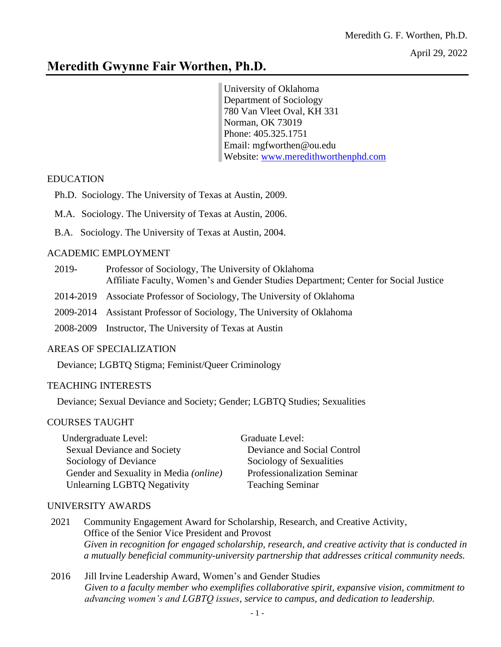# **Meredith Gwynne Fair Worthen, Ph.D.**

University of Oklahoma Department of Sociology 780 Van Vleet Oval, KH 331 Norman, OK 73019 Phone: 405.325.1751 Email: mgfworthen@ou.edu Website: [www.meredithworthenphd.com](http://www.meredithworthenphd.com/)

## EDUCATION

ֺ֞֡

- Ph.D. Sociology. The University of Texas at Austin, 2009.
- M.A. Sociology. The University of Texas at Austin, 2006.
- B.A. Sociology. The University of Texas at Austin, 2004.

# ACADEMIC EMPLOYMENT

- 2019- Professor of Sociology, The University of Oklahoma Affiliate Faculty, Women's and Gender Studies Department; Center for Social Justice
- 2014-2019 Associate Professor of Sociology, The University of Oklahoma
- 2009-2014 Assistant Professor of Sociology, The University of Oklahoma
- 2008-2009 Instructor, The University of Texas at Austin

# AREAS OF SPECIALIZATION

Deviance; LGBTQ Stigma; Feminist/Queer Criminology

# TEACHING INTERESTS

Deviance; Sexual Deviance and Society; Gender; LGBTQ Studies; Sexualities

# COURSES TAUGHT

Undergraduate Level: Graduate Level: Sexual Deviance and Society Deviance and Social Control Sociology of Deviance Sociology of Sexualities Gender and Sexuality in Media *(online)* Professionalization Seminar Unlearning LGBTO Negativity Teaching Seminar

# UNIVERSITY AWARDS

- 2021 Community Engagement Award for Scholarship, Research, and Creative Activity, Office of the Senior Vice President and Provost *Given in recognition for engaged scholarship, research, and creative activity that is conducted in a mutually beneficial community-university partnership that addresses critical community needs.*
- 2016 Jill Irvine Leadership Award, Women's and Gender Studies *Given to a faculty member who exemplifies collaborative spirit, expansive vision, commitment to advancing women's and LGBTQ issues, service to campus, and dedication to leadership.*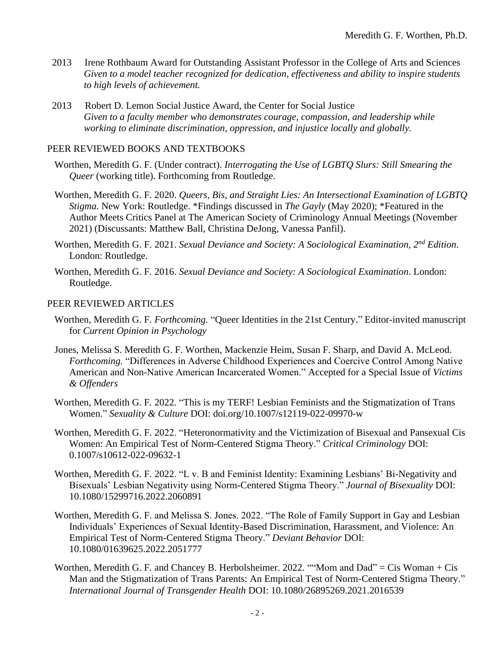- 2013 Irene Rothbaum Award for Outstanding Assistant Professor in the College of Arts and Sciences *Given to a model teacher recognized for dedication, effectiveness and ability to inspire students to high levels of achievement.*
- 2013 Robert D. Lemon Social Justice Award, the Center for Social Justice *Given to a faculty member who demonstrates courage, compassion, and leadership while working to eliminate discrimination, oppression, and injustice locally and globally.*

### PEER REVIEWED BOOKS AND TEXTBOOKS

- Worthen, Meredith G. F. (Under contract). *Interrogating the Use of LGBTQ Slurs: Still Smearing the Queer* (working title). Forthcoming from Routledge.
- Worthen, Meredith G. F. 2020. *Queers, Bis, and Straight Lies: An Intersectional Examination of LGBTQ Stigma.* New York: Routledge. \*Findings discussed in *The Gayly* (May 2020); \*Featured in the Author Meets Critics Panel at The American Society of Criminology Annual Meetings (November 2021) (Discussants: Matthew Ball, Christina DeJong, Vanessa Panfil).
- Worthen, Meredith G. F. 2021. *Sexual Deviance and Society: A Sociological Examination, 2nd Edition*. London: Routledge.
- Worthen, Meredith G. F. 2016. *Sexual Deviance and Society: A Sociological Examination*. London: Routledge.

#### PEER REVIEWED ARTICLES

- Worthen, Meredith G. F. *Forthcoming.* "Queer Identities in the 21st Century." Editor-invited manuscript for *Current Opinion in Psychology*
- Jones, Melissa S. Meredith G. F. Worthen, Mackenzie Heim, Susan F. Sharp, and David A. McLeod. *Forthcoming.* "Differences in Adverse Childhood Experiences and Coercive Control Among Native American and Non-Native American Incarcerated Women." Accepted for a Special Issue of *Victims & Offenders*
- Worthen, Meredith G. F*.* 2022. "This is my TERF! Lesbian Feminists and the Stigmatization of Trans Women." *Sexuality & Culture* DOI: doi.org/10.1007/s12119-022-09970-w
- Worthen, Meredith G. F. 2022. "Heteronormativity and the Victimization of Bisexual and Pansexual Cis Women: An Empirical Test of Norm-Centered Stigma Theory." *Critical Criminology* DOI: 0.1007/s10612-022-09632-1
- Worthen, Meredith G. F. 2022. "L v. B and Feminist Identity: Examining Lesbians' Bi-Negativity and Bisexuals' Lesbian Negativity using Norm-Centered Stigma Theory." *Journal of Bisexuality* DOI: 10.1080/15299716.2022.2060891
- Worthen, Meredith G. F. and Melissa S. Jones. 2022. "The Role of Family Support in Gay and Lesbian Individuals' Experiences of Sexual Identity-Based Discrimination, Harassment, and Violence: An Empirical Test of Norm-Centered Stigma Theory." *Deviant Behavior* DOI: 10.1080/01639625.2022.2051777
- Worthen, Meredith G. F. and Chancey B. Herbolsheimer. 2022. ""Mom and Dad" = Cis Woman + Cis Man and the Stigmatization of Trans Parents: An Empirical Test of Norm-Centered Stigma Theory." *International Journal of Transgender Health* DOI: 10.1080/26895269.2021.2016539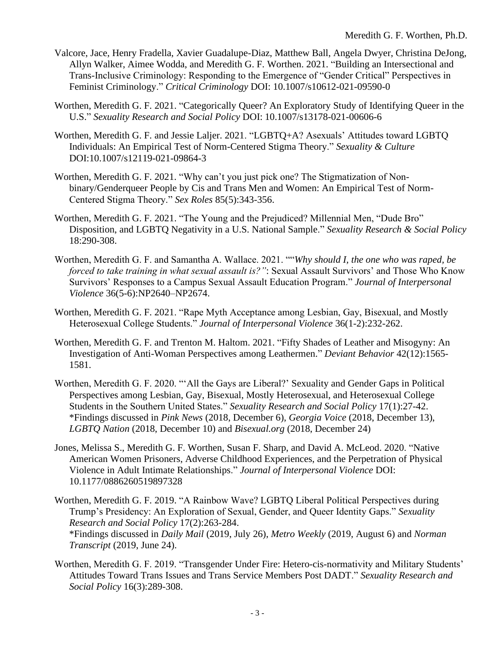- Valcore, Jace, Henry Fradella, Xavier Guadalupe-Diaz, Matthew Ball, Angela Dwyer, Christina DeJong, Allyn Walker, Aimee Wodda, and Meredith G. F. Worthen. 2021. "Building an Intersectional and Trans-Inclusive Criminology: Responding to the Emergence of "Gender Critical" Perspectives in Feminist Criminology." *Critical Criminology* DOI: 10.1007/s10612-021-09590-0
- Worthen, Meredith G. F. 2021. "Categorically Queer? An Exploratory Study of Identifying Queer in the U.S." *Sexuality Research and Social Policy* DOI: 10.1007/s13178-021-00606-6
- Worthen, Meredith G. F. and Jessie Laljer. 2021. "LGBTQ+A? Asexuals' Attitudes toward LGBTQ Individuals: An Empirical Test of Norm-Centered Stigma Theory." *Sexuality & Culture* DOI:10.1007/s12119-021-09864-3
- Worthen, Meredith G. F. 2021. "Why can't you just pick one? The Stigmatization of Nonbinary/Genderqueer People by Cis and Trans Men and Women: An Empirical Test of Norm-Centered Stigma Theory." *Sex Roles* 85(5):343-356.
- Worthen, Meredith G. F. 2021. "The Young and the Prejudiced? Millennial Men, "Dude Bro" Disposition, and LGBTQ Negativity in a U.S. National Sample." *Sexuality Research & Social Policy* 18:290-308.
- Worthen, Meredith G. F. and Samantha A. Wallace. 2021. ""*Why should I, the one who was raped, be forced to take training in what sexual assault is?"*: Sexual Assault Survivors' and Those Who Know Survivors' Responses to a Campus Sexual Assault Education Program." *Journal of Interpersonal Violence* 36(5-6):NP2640–NP2674.
- Worthen, Meredith G. F. 2021. "Rape Myth Acceptance among Lesbian, Gay, Bisexual, and Mostly Heterosexual College Students." *Journal of Interpersonal Violence* 36(1-2):232-262.
- Worthen, Meredith G. F. and Trenton M. Haltom. 2021. "Fifty Shades of Leather and Misogyny: An Investigation of Anti-Woman Perspectives among Leathermen." *Deviant Behavior* 42(12):1565- 1581.
- Worthen, Meredith G. F. 2020. "'All the Gays are Liberal?' Sexuality and Gender Gaps in Political Perspectives among Lesbian, Gay, Bisexual, Mostly Heterosexual, and Heterosexual College Students in the Southern United States." *Sexuality Research and Social Policy* 17(1):27-42. \*Findings discussed in *Pink News* (2018, December 6), *Georgia Voice* (2018, December 13), *LGBTQ Nation* (2018, December 10) and *Bisexual.org* (2018, December 24)
- Jones, Melissa S., Meredith G. F. Worthen, Susan F. Sharp, and David A. McLeod. 2020. "Native American Women Prisoners, Adverse Childhood Experiences, and the Perpetration of Physical Violence in Adult Intimate Relationships." *Journal of Interpersonal Violence* DOI: 10.1177/0886260519897328
- Worthen, Meredith G. F. 2019. "A Rainbow Wave? LGBTQ Liberal Political Perspectives during Trump's Presidency: An Exploration of Sexual, Gender, and Queer Identity Gaps." *Sexuality Research and Social Policy* 17(2):263-284. \*Findings discussed in *Daily Mail* (2019, July 26), *Metro Weekly* (2019, August 6) and *Norman Transcript* (2019, June 24).
- Worthen, Meredith G. F. 2019. "Transgender Under Fire: Hetero-cis-normativity and Military Students' Attitudes Toward Trans Issues and Trans Service Members Post DADT." *Sexuality Research and Social Policy* 16(3):289-308.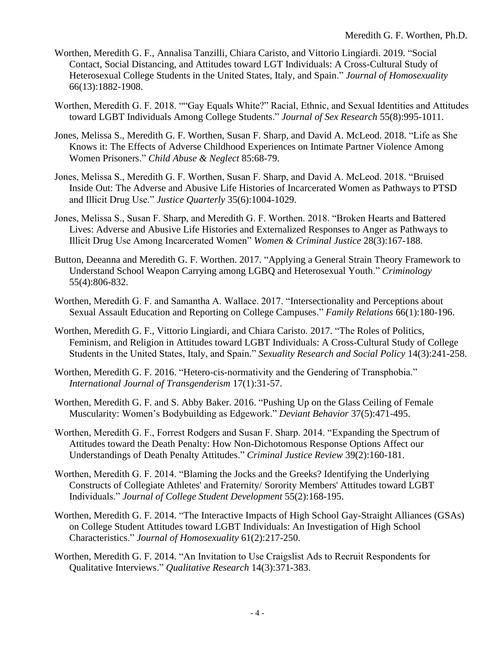- Worthen, Meredith G. F., Annalisa Tanzilli, Chiara Caristo, and Vittorio Lingiardi. 2019. "Social Contact, Social Distancing, and Attitudes toward LGT Individuals: A Cross-Cultural Study of Heterosexual College Students in the United States, Italy, and Spain." *Journal of Homosexuality* 66(13):1882-1908.
- Worthen, Meredith G. F. 2018. ""Gay Equals White?" Racial, Ethnic, and Sexual Identities and Attitudes toward LGBT Individuals Among College Students." *Journal of Sex Research* 55(8):995-1011.
- Jones, Melissa S., Meredith G. F. Worthen, Susan F. Sharp, and David A. McLeod. 2018. "Life as She Knows it: The Effects of Adverse Childhood Experiences on Intimate Partner Violence Among Women Prisoners." *Child Abuse & Neglect* 85:68-79.
- Jones, Melissa S., Meredith G. F. Worthen, Susan F. Sharp, and David A. McLeod. 2018. "Bruised Inside Out: The Adverse and Abusive Life Histories of Incarcerated Women as Pathways to PTSD and Illicit Drug Use." *Justice Quarterly* 35(6):1004-1029.
- Jones, Melissa S., Susan F. Sharp, and Meredith G. F. Worthen. 2018. "Broken Hearts and Battered Lives: Adverse and Abusive Life Histories and Externalized Responses to Anger as Pathways to Illicit Drug Use Among Incarcerated Women" *Women & Criminal Justice* 28(3):167-188.
- Button, Deeanna and Meredith G. F. Worthen. 2017. "Applying a General Strain Theory Framework to Understand School Weapon Carrying among LGBQ and Heterosexual Youth." *Criminology* 55(4):806-832.
- Worthen, Meredith G. F. and Samantha A. Wallace. 2017. "Intersectionality and Perceptions about Sexual Assault Education and Reporting on College Campuses." *Family Relations* 66(1):180-196.
- Worthen, Meredith G. F., Vittorio Lingiardi, and Chiara Caristo. 2017. "The Roles of Politics, Feminism, and Religion in Attitudes toward LGBT Individuals: A Cross-Cultural Study of College Students in the United States, Italy, and Spain." *Sexuality Research and Social Policy* 14(3):241-258.
- Worthen, Meredith G. F. 2016. "Hetero-cis-normativity and the Gendering of Transphobia." *International Journal of Transgenderism* 17(1):31-57.
- Worthen, Meredith G. F. and S. Abby Baker. 2016. "Pushing Up on the Glass Ceiling of Female Muscularity: Women's Bodybuilding as Edgework." *Deviant Behavior* 37(5):471-495.
- Worthen, Meredith G. F., Forrest Rodgers and Susan F. Sharp. 2014. "Expanding the Spectrum of Attitudes toward the Death Penalty: How Non-Dichotomous Response Options Affect our Understandings of Death Penalty Attitudes." *Criminal Justice Review* 39(2):160-181.
- Worthen, Meredith G. F. 2014. "Blaming the Jocks and the Greeks? Identifying the Underlying Constructs of Collegiate Athletes' and Fraternity/ Sorority Members' Attitudes toward LGBT Individuals." *Journal of College Student Development* 55(2):168-195.
- Worthen, Meredith G. F. 2014. "The Interactive Impacts of High School Gay-Straight Alliances (GSAs) on College Student Attitudes toward LGBT Individuals: An Investigation of High School Characteristics." *Journal of Homosexuality* 61(2):217-250.
- Worthen, Meredith G. F. 2014. "An Invitation to Use Craigslist Ads to Recruit Respondents for Qualitative Interviews." *Qualitative Research* 14(3):371-383.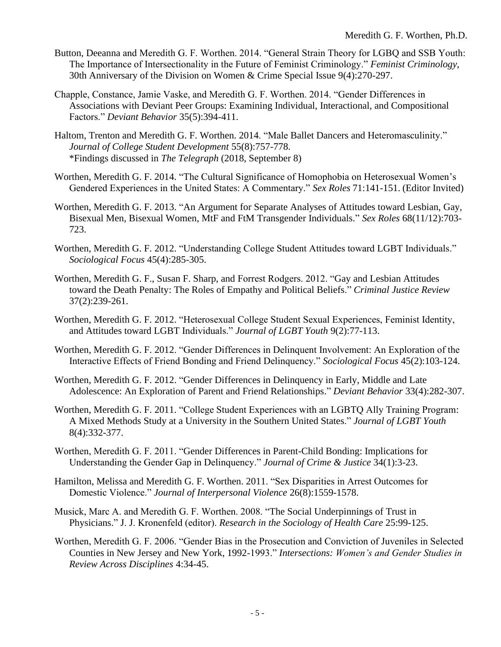- Button, Deeanna and Meredith G. F. Worthen. 2014. "General Strain Theory for LGBQ and SSB Youth: The Importance of Intersectionality in the Future of Feminist Criminology." *Feminist Criminology*, 30th Anniversary of the Division on Women & Crime Special Issue 9(4):270-297.
- Chapple, Constance, Jamie Vaske, and Meredith G. F. Worthen. 2014. "Gender Differences in Associations with Deviant Peer Groups: Examining Individual, Interactional, and Compositional Factors." *Deviant Behavior* 35(5):394-411.
- Haltom, Trenton and Meredith G. F. Worthen. 2014. "Male Ballet Dancers and Heteromasculinity." *Journal of College Student Development* 55(8):757-778. \*Findings discussed in *The Telegraph* (2018, September 8)
- Worthen, Meredith G. F. 2014. "The Cultural Significance of Homophobia on Heterosexual Women's Gendered Experiences in the United States: A Commentary." *Sex Roles* 71:141-151. (Editor Invited)
- Worthen, Meredith G. F. 2013. "An Argument for Separate Analyses of Attitudes toward Lesbian, Gay, Bisexual Men, Bisexual Women, MtF and FtM Transgender Individuals." *Sex Roles* 68(11/12):703- 723.
- Worthen, Meredith G. F. 2012. "Understanding College Student Attitudes toward LGBT Individuals." *Sociological Focus* 45(4):285-305.
- Worthen, Meredith G. F., Susan F. Sharp, and Forrest Rodgers. 2012. "Gay and Lesbian Attitudes toward the Death Penalty: The Roles of Empathy and Political Beliefs." *Criminal Justice Review* 37(2):239-261.
- Worthen, Meredith G. F. 2012. "Heterosexual College Student Sexual Experiences, Feminist Identity, and Attitudes toward LGBT Individuals." *Journal of LGBT Youth* 9(2):77-113.
- Worthen, Meredith G. F. 2012. "Gender Differences in Delinquent Involvement: An Exploration of the Interactive Effects of Friend Bonding and Friend Delinquency." *Sociological Focus* 45(2):103-124.
- Worthen, Meredith G. F. 2012. "Gender Differences in Delinquency in Early, Middle and Late Adolescence: An Exploration of Parent and Friend Relationships." *Deviant Behavior* 33(4):282-307.
- Worthen, Meredith G. F. 2011. "College Student Experiences with an LGBTQ Ally Training Program: A Mixed Methods Study at a University in the Southern United States." *Journal of LGBT Youth* 8(4):332-377.
- Worthen, Meredith G. F. 2011. "Gender Differences in Parent-Child Bonding: Implications for Understanding the Gender Gap in Delinquency." *Journal of Crime & Justice* 34(1):3-23.
- Hamilton, Melissa and Meredith G. F. Worthen. 2011. "Sex Disparities in Arrest Outcomes for Domestic Violence." *Journal of Interpersonal Violence* 26(8):1559-1578.
- Musick, Marc A. and Meredith G. F. Worthen. 2008. "The Social Underpinnings of Trust in Physicians." J. J. Kronenfeld (editor). *Research in the Sociology of Health Care* 25:99-125.
- Worthen, Meredith G. F. 2006. "Gender Bias in the Prosecution and Conviction of Juveniles in Selected Counties in New Jersey and New York, 1992-1993." *Intersections: Women's and Gender Studies in Review Across Disciplines* 4:34-45.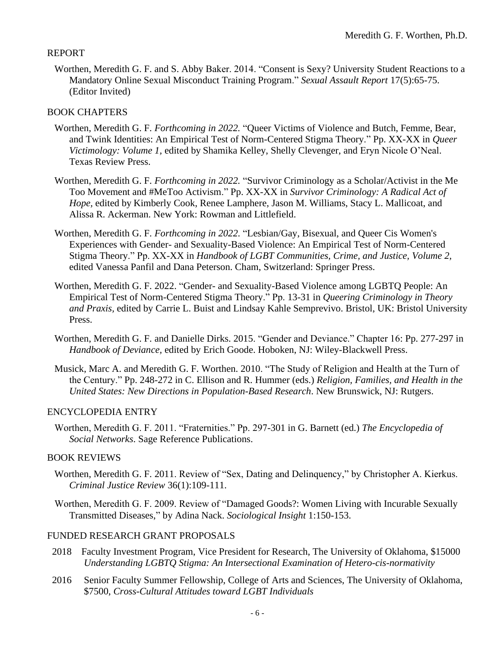### REPORT

Worthen, Meredith G. F. and S. Abby Baker. 2014. "Consent is Sexy? University Student Reactions to a Mandatory Online Sexual Misconduct Training Program." *Sexual Assault Report* 17(5):65-75. (Editor Invited)

### BOOK CHAPTERS

- Worthen, Meredith G. F. *Forthcoming in 2022.* "Queer Victims of Violence and Butch, Femme, Bear, and Twink Identities: An Empirical Test of Norm-Centered Stigma Theory." Pp. XX-XX in *Queer Victimology: Volume 1,* edited by Shamika Kelley, Shelly Clevenger, and Eryn Nicole O'Neal. Texas Review Press.
- Worthen, Meredith G. F. *Forthcoming in 2022.* "Survivor Criminology as a Scholar/Activist in the Me Too Movement and #MeToo Activism." Pp. XX-XX in *Survivor Criminology: A Radical Act of Hope,* edited by Kimberly Cook, Renee Lamphere, Jason M. Williams, Stacy L. Mallicoat, and Alissa R. Ackerman. New York: Rowman and Littlefield.
- Worthen, Meredith G. F. *Forthcoming in 2022.* "Lesbian/Gay, Bisexual, and Queer Cis Women's Experiences with Gender- and Sexuality-Based Violence: An Empirical Test of Norm-Centered Stigma Theory." Pp. XX-XX in *Handbook of LGBT Communities, Crime, and Justice, Volume 2,* edited Vanessa Panfil and Dana Peterson. Cham, Switzerland: Springer Press.
- Worthen, Meredith G. F. 2022. "Gender- and Sexuality-Based Violence among LGBTQ People: An Empirical Test of Norm-Centered Stigma Theory." Pp. 13-31 in *Queering Criminology in Theory and Praxis,* edited by Carrie L. Buist and Lindsay Kahle Semprevivo. Bristol, UK: Bristol University Press.
- Worthen, Meredith G. F. and Danielle Dirks. 2015. "Gender and Deviance." Chapter 16: Pp. 277-297 in *Handbook of Deviance,* edited by Erich Goode. Hoboken, NJ: Wiley-Blackwell Press.
- Musick, Marc A. and Meredith G. F. Worthen. 2010. "The Study of Religion and Health at the Turn of the Century." Pp. 248-272 in C. Ellison and R. Hummer (eds.) *Religion, Families, and Health in the United States: New Directions in Population-Based Research*. New Brunswick, NJ: Rutgers.

### ENCYCLOPEDIA ENTRY

Worthen, Meredith G. F. 2011. "Fraternities." Pp. 297-301 in G. Barnett (ed.) *The Encyclopedia of Social Networks*. Sage Reference Publications.

### BOOK REVIEWS

- Worthen, Meredith G. F. 2011. Review of "Sex, Dating and Delinquency," by Christopher A. Kierkus. *Criminal Justice Review* 36(1):109-111.
- Worthen, Meredith G. F. 2009. Review of "Damaged Goods?: Women Living with Incurable Sexually Transmitted Diseases," by Adina Nack. *Sociological Insight* 1:150-153.

### FUNDED RESEARCH GRANT PROPOSALS

- 2018 Faculty Investment Program, Vice President for Research, The University of Oklahoma, \$15000 *Understanding LGBTQ Stigma: An Intersectional Examination of Hetero-cis-normativity*
- 2016 Senior Faculty Summer Fellowship, College of Arts and Sciences, The University of Oklahoma, \$7500, *Cross-Cultural Attitudes toward LGBT Individuals*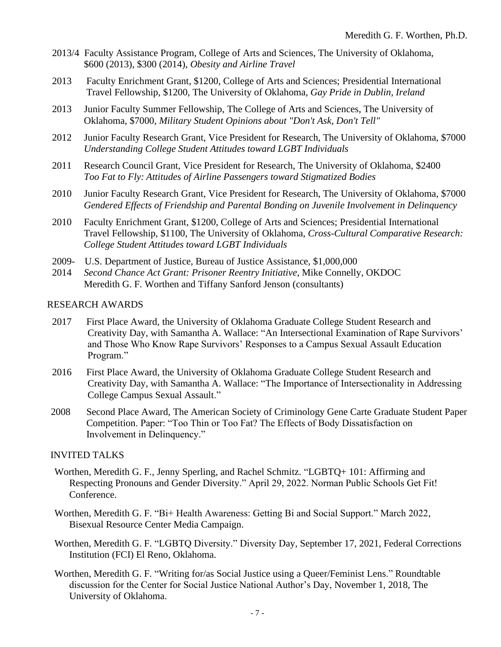- 2013/4 Faculty Assistance Program, College of Arts and Sciences, The University of Oklahoma, \$600 (2013), \$300 (2014), *Obesity and Airline Travel*
- 2013 Faculty Enrichment Grant, \$1200, College of Arts and Sciences; Presidential International Travel Fellowship, \$1200, The University of Oklahoma, *Gay Pride in Dublin, Ireland*
- 2013 Junior Faculty Summer Fellowship, The College of Arts and Sciences, The University of Oklahoma, \$7000, *Military Student Opinions about "Don't Ask, Don't Tell"*
- 2012 Junior Faculty Research Grant, Vice President for Research, The University of Oklahoma, \$7000 *Understanding College Student Attitudes toward LGBT Individuals*
- 2011 Research Council Grant, Vice President for Research, The University of Oklahoma, \$2400 *Too Fat to Fly: Attitudes of Airline Passengers toward Stigmatized Bodies*
- 2010 Junior Faculty Research Grant, Vice President for Research, The University of Oklahoma, \$7000 *Gendered Effects of Friendship and Parental Bonding on Juvenile Involvement in Delinquency*
- 2010 Faculty Enrichment Grant, \$1200, College of Arts and Sciences; Presidential International Travel Fellowship, \$1100, The University of Oklahoma, *Cross-Cultural Comparative Research: College Student Attitudes toward LGBT Individuals*
- 2009- U.S. Department of Justice, Bureau of Justice Assistance, \$1,000,000
- 2014 *Second Chance Act Grant: Prisoner Reentry Initiative*, Mike Connelly, OKDOC Meredith G. F. Worthen and Tiffany Sanford Jenson (consultants)

#### RESEARCH AWARDS

- 2017 First Place Award, the University of Oklahoma Graduate College Student Research and Creativity Day, with Samantha A. Wallace: "An Intersectional Examination of Rape Survivors' and Those Who Know Rape Survivors' Responses to a Campus Sexual Assault Education Program."
- 2016 First Place Award, the University of Oklahoma Graduate College Student Research and Creativity Day, with Samantha A. Wallace: "The Importance of Intersectionality in Addressing College Campus Sexual Assault."
- 2008 Second Place Award, The American Society of Criminology Gene Carte Graduate Student Paper Competition. Paper: "Too Thin or Too Fat? The Effects of Body Dissatisfaction on Involvement in Delinquency."

#### INVITED TALKS

- Worthen, Meredith G. F., Jenny Sperling, and Rachel Schmitz. "LGBTQ+ 101: Affirming and Respecting Pronouns and Gender Diversity." April 29, 2022. Norman Public Schools Get Fit! Conference.
- Worthen, Meredith G. F. "Bi+ Health Awareness: Getting Bi and Social Support." March 2022, Bisexual Resource Center Media Campaign.
- Worthen, Meredith G. F. "LGBTQ Diversity." Diversity Day, September 17, 2021, Federal Corrections Institution (FCI) El Reno, Oklahoma.
- Worthen, Meredith G. F. "Writing for/as Social Justice using a Queer/Feminist Lens." Roundtable discussion for the Center for Social Justice National Author's Day, November 1, 2018, The University of Oklahoma.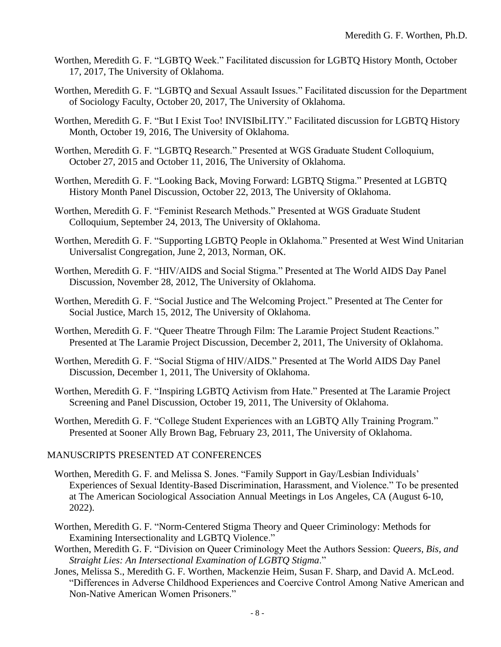- Worthen, Meredith G. F. "LGBTQ Week." Facilitated discussion for LGBTQ History Month, October 17, 2017, The University of Oklahoma.
- Worthen, Meredith G. F. "LGBTQ and Sexual Assault Issues." Facilitated discussion for the Department of Sociology Faculty, October 20, 2017, The University of Oklahoma.
- Worthen, Meredith G. F. "But I Exist Too! INVISIbiLITY." Facilitated discussion for LGBTQ History Month, October 19, 2016, The University of Oklahoma.
- Worthen, Meredith G. F. "LGBTQ Research." Presented at WGS Graduate Student Colloquium, October 27, 2015 and October 11, 2016, The University of Oklahoma.
- Worthen, Meredith G. F. "Looking Back, Moving Forward: LGBTQ Stigma." Presented at LGBTQ History Month Panel Discussion, October 22, 2013, The University of Oklahoma.
- Worthen, Meredith G. F. "Feminist Research Methods." Presented at WGS Graduate Student Colloquium, September 24, 2013, The University of Oklahoma.
- Worthen, Meredith G. F. "Supporting LGBTQ People in Oklahoma." Presented at West Wind Unitarian Universalist Congregation, June 2, 2013, Norman, OK.
- Worthen, Meredith G. F. "HIV/AIDS and Social Stigma." Presented at The World AIDS Day Panel Discussion, November 28, 2012, The University of Oklahoma.
- Worthen, Meredith G. F. "Social Justice and The Welcoming Project." Presented at The Center for Social Justice, March 15, 2012, The University of Oklahoma.
- Worthen, Meredith G. F. "Queer Theatre Through Film: The Laramie Project Student Reactions." Presented at The Laramie Project Discussion, December 2, 2011, The University of Oklahoma.
- Worthen, Meredith G. F. "Social Stigma of HIV/AIDS." Presented at The World AIDS Day Panel Discussion, December 1, 2011, The University of Oklahoma.
- Worthen, Meredith G. F. "Inspiring LGBTQ Activism from Hate." Presented at The Laramie Project Screening and Panel Discussion, October 19, 2011, The University of Oklahoma.
- Worthen, Meredith G. F. "College Student Experiences with an LGBTQ Ally Training Program." Presented at Sooner Ally Brown Bag, February 23, 2011, The University of Oklahoma.

### MANUSCRIPTS PRESENTED AT CONFERENCES

- Worthen, Meredith G. F. and Melissa S. Jones. "Family Support in Gay/Lesbian Individuals' Experiences of Sexual Identity-Based Discrimination, Harassment, and Violence." To be presented at The American Sociological Association Annual Meetings in Los Angeles, CA (August 6-10, 2022).
- Worthen, Meredith G. F. "Norm-Centered Stigma Theory and Queer Criminology: Methods for Examining Intersectionality and LGBTQ Violence."
- Worthen, Meredith G. F. "Division on Queer Criminology Meet the Authors Session: *Queers, Bis, and Straight Lies: An Intersectional Examination of LGBTQ Stigma*."
- Jones, Melissa S., Meredith G. F. Worthen, Mackenzie Heim, Susan F. Sharp, and David A. McLeod. "Differences in Adverse Childhood Experiences and Coercive Control Among Native American and Non-Native American Women Prisoners."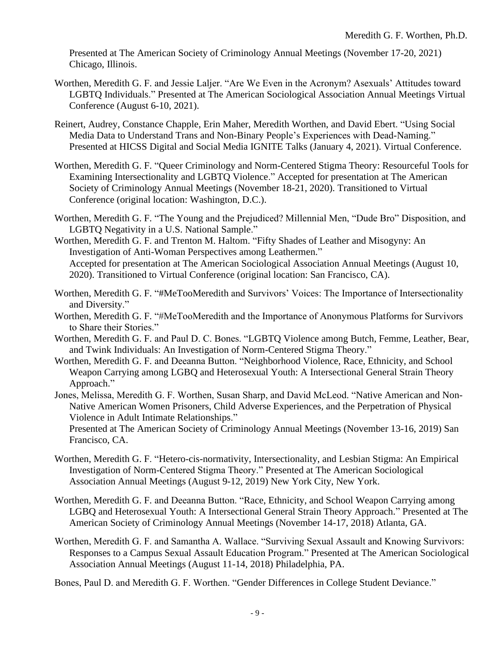Presented at The American Society of Criminology Annual Meetings (November 17-20, 2021) Chicago, Illinois.

- Worthen, Meredith G. F. and Jessie Laljer. "Are We Even in the Acronym? Asexuals' Attitudes toward LGBTQ Individuals." Presented at The American Sociological Association Annual Meetings Virtual Conference (August 6-10, 2021).
- Reinert, Audrey, Constance Chapple, Erin Maher, Meredith Worthen, and David Ebert. "Using Social Media Data to Understand Trans and Non-Binary People's Experiences with Dead-Naming." Presented at HICSS Digital and Social Media IGNITE Talks (January 4, 2021). Virtual Conference.
- Worthen, Meredith G. F. "Queer Criminology and Norm-Centered Stigma Theory: Resourceful Tools for Examining Intersectionality and LGBTQ Violence." Accepted for presentation at The American Society of Criminology Annual Meetings (November 18-21, 2020). Transitioned to Virtual Conference (original location: Washington, D.C.).
- Worthen, Meredith G. F. "The Young and the Prejudiced? Millennial Men, "Dude Bro" Disposition, and LGBTQ Negativity in a U.S. National Sample."

Worthen, Meredith G. F. and Trenton M. Haltom. "Fifty Shades of Leather and Misogyny: An Investigation of Anti-Woman Perspectives among Leathermen." Accepted for presentation at The American Sociological Association Annual Meetings (August 10, 2020). Transitioned to Virtual Conference (original location: San Francisco, CA).

- Worthen, Meredith G. F. "#MeTooMeredith and Survivors' Voices: The Importance of Intersectionality and Diversity."
- Worthen, Meredith G. F. "#MeTooMeredith and the Importance of Anonymous Platforms for Survivors to Share their Stories."
- Worthen, Meredith G. F. and Paul D. C. Bones. "LGBTQ Violence among Butch, Femme, Leather, Bear, and Twink Individuals: An Investigation of Norm-Centered Stigma Theory."
- Worthen, Meredith G. F. and Deeanna Button. "Neighborhood Violence, Race, Ethnicity, and School Weapon Carrying among LGBQ and Heterosexual Youth: A Intersectional General Strain Theory Approach."
- Jones, Melissa, Meredith G. F. Worthen, Susan Sharp, and David McLeod. "Native American and Non-Native American Women Prisoners, Child Adverse Experiences, and the Perpetration of Physical Violence in Adult Intimate Relationships."

Presented at The American Society of Criminology Annual Meetings (November 13-16, 2019) San Francisco, CA.

- Worthen, Meredith G. F. "Hetero-cis-normativity, Intersectionality, and Lesbian Stigma: An Empirical Investigation of Norm-Centered Stigma Theory." Presented at The American Sociological Association Annual Meetings (August 9-12, 2019) New York City, New York.
- Worthen, Meredith G. F. and Deeanna Button. "Race, Ethnicity, and School Weapon Carrying among LGBQ and Heterosexual Youth: A Intersectional General Strain Theory Approach." Presented at The American Society of Criminology Annual Meetings (November 14-17, 2018) Atlanta, GA.
- Worthen, Meredith G. F. and Samantha A. Wallace. "Surviving Sexual Assault and Knowing Survivors: Responses to a Campus Sexual Assault Education Program." Presented at The American Sociological Association Annual Meetings (August 11-14, 2018) Philadelphia, PA.

Bones, Paul D. and Meredith G. F. Worthen. "Gender Differences in College Student Deviance."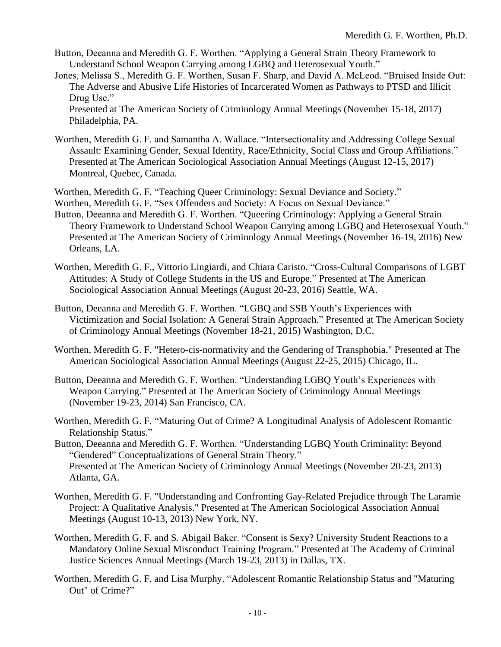- Button, Deeanna and Meredith G. F. Worthen. "Applying a General Strain Theory Framework to Understand School Weapon Carrying among LGBQ and Heterosexual Youth."
- Jones, Melissa S., Meredith G. F. Worthen, Susan F. Sharp, and David A. McLeod. "Bruised Inside Out: The Adverse and Abusive Life Histories of Incarcerated Women as Pathways to PTSD and Illicit Drug Use."

Presented at The American Society of Criminology Annual Meetings (November 15-18, 2017) Philadelphia, PA.

Worthen, Meredith G. F. and Samantha A. Wallace. "Intersectionality and Addressing College Sexual Assault: Examining Gender, Sexual Identity, Race/Ethnicity, Social Class and Group Affiliations." Presented at The American Sociological Association Annual Meetings (August 12-15, 2017) Montreal, Quebec, Canada.

Worthen, Meredith G. F. "Teaching Queer Criminology: Sexual Deviance and Society."

Worthen, Meredith G. F. "Sex Offenders and Society: A Focus on Sexual Deviance."

- Button, Deeanna and Meredith G. F. Worthen. "Queering Criminology: Applying a General Strain Theory Framework to Understand School Weapon Carrying among LGBQ and Heterosexual Youth." Presented at The American Society of Criminology Annual Meetings (November 16-19, 2016) New Orleans, LA.
- Worthen, Meredith G. F., Vittorio Lingiardi, and Chiara Caristo. "Cross-Cultural Comparisons of LGBT Attitudes: A Study of College Students in the US and Europe." Presented at The American Sociological Association Annual Meetings (August 20-23, 2016) Seattle, WA.

Button, Deeanna and Meredith G. F. Worthen. "LGBQ and SSB Youth's Experiences with Victimization and Social Isolation: A General Strain Approach." Presented at The American Society of Criminology Annual Meetings (November 18-21, 2015) Washington, D.C.

- Worthen, Meredith G. F. "Hetero-cis-normativity and the Gendering of Transphobia." Presented at The American Sociological Association Annual Meetings (August 22-25, 2015) Chicago, IL.
- Button, Deeanna and Meredith G. F. Worthen. "Understanding LGBQ Youth's Experiences with Weapon Carrying." Presented at The American Society of Criminology Annual Meetings (November 19-23, 2014) San Francisco, CA.

Worthen, Meredith G. F. "Maturing Out of Crime? A Longitudinal Analysis of Adolescent Romantic Relationship Status."

- Button, Deeanna and Meredith G. F. Worthen. "Understanding LGBQ Youth Criminality: Beyond "Gendered" Conceptualizations of General Strain Theory." Presented at The American Society of Criminology Annual Meetings (November 20-23, 2013) Atlanta, GA.
- Worthen, Meredith G. F. "Understanding and Confronting Gay-Related Prejudice through The Laramie Project: A Qualitative Analysis." Presented at The American Sociological Association Annual Meetings (August 10-13, 2013) New York, NY.
- Worthen, Meredith G. F. and S. Abigail Baker. "Consent is Sexy? University Student Reactions to a Mandatory Online Sexual Misconduct Training Program." Presented at The Academy of Criminal Justice Sciences Annual Meetings (March 19-23, 2013) in Dallas, TX.
- Worthen, Meredith G. F. and Lisa Murphy. "Adolescent Romantic Relationship Status and "Maturing Out" of Crime?"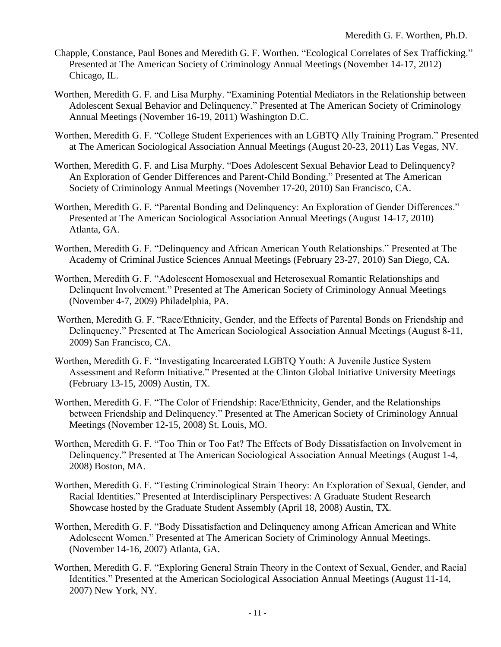- Chapple, Constance, Paul Bones and Meredith G. F. Worthen. "Ecological Correlates of Sex Trafficking." Presented at The American Society of Criminology Annual Meetings (November 14-17, 2012) Chicago, IL.
- Worthen, Meredith G. F. and Lisa Murphy. "Examining Potential Mediators in the Relationship between Adolescent Sexual Behavior and Delinquency." Presented at The American Society of Criminology Annual Meetings (November 16-19, 2011) Washington D.C.
- Worthen, Meredith G. F. "College Student Experiences with an LGBTQ Ally Training Program." Presented at The American Sociological Association Annual Meetings (August 20-23, 2011) Las Vegas, NV.
- Worthen, Meredith G. F. and Lisa Murphy. "Does Adolescent Sexual Behavior Lead to Delinquency? An Exploration of Gender Differences and Parent-Child Bonding." Presented at The American Society of Criminology Annual Meetings (November 17-20, 2010) San Francisco, CA.
- Worthen, Meredith G. F. "Parental Bonding and Delinquency: An Exploration of Gender Differences." Presented at The American Sociological Association Annual Meetings (August 14-17, 2010) Atlanta, GA.
- Worthen, Meredith G. F. "Delinquency and African American Youth Relationships." Presented at The Academy of Criminal Justice Sciences Annual Meetings (February 23-27, 2010) San Diego, CA.
- Worthen, Meredith G. F. "Adolescent Homosexual and Heterosexual Romantic Relationships and Delinquent Involvement." Presented at The American Society of Criminology Annual Meetings (November 4-7, 2009) Philadelphia, PA.
- Worthen, Meredith G. F. "Race/Ethnicity, Gender, and the Effects of Parental Bonds on Friendship and Delinquency." Presented at The American Sociological Association Annual Meetings (August 8-11, 2009) San Francisco, CA.
- Worthen, Meredith G. F. "Investigating Incarcerated LGBTQ Youth: A Juvenile Justice System Assessment and Reform Initiative." Presented at the Clinton Global Initiative University Meetings (February 13-15, 2009) Austin, TX.
- Worthen, Meredith G. F. "The Color of Friendship: Race/Ethnicity, Gender, and the Relationships between Friendship and Delinquency." Presented at The American Society of Criminology Annual Meetings (November 12-15, 2008) St. Louis, MO.
- Worthen, Meredith G. F. "Too Thin or Too Fat? The Effects of Body Dissatisfaction on Involvement in Delinquency." Presented at The American Sociological Association Annual Meetings (August 1-4, 2008) Boston, MA.
- Worthen, Meredith G. F. "Testing Criminological Strain Theory: An Exploration of Sexual, Gender, and Racial Identities." Presented at Interdisciplinary Perspectives: A Graduate Student Research Showcase hosted by the Graduate Student Assembly (April 18, 2008) Austin, TX.
- Worthen, Meredith G. F. "Body Dissatisfaction and Delinquency among African American and White Adolescent Women." Presented at The American Society of Criminology Annual Meetings. (November 14-16, 2007) Atlanta, GA.
- Worthen, Meredith G. F. "Exploring General Strain Theory in the Context of Sexual, Gender, and Racial Identities." Presented at the American Sociological Association Annual Meetings (August 11-14, 2007) New York, NY.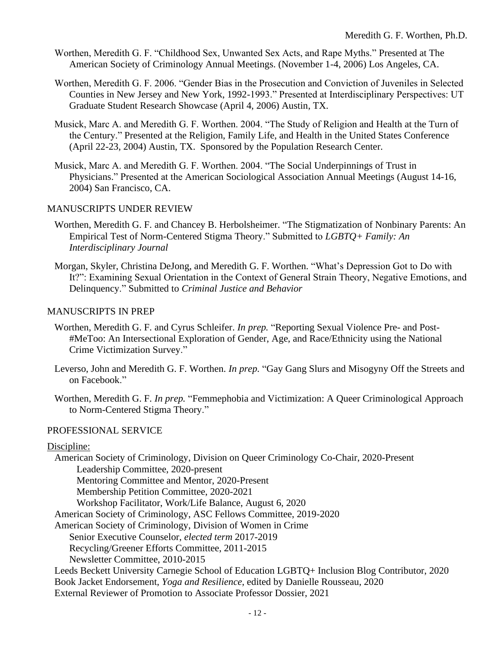- Worthen, Meredith G. F. "Childhood Sex, Unwanted Sex Acts, and Rape Myths." Presented at The American Society of Criminology Annual Meetings. (November 1-4, 2006) Los Angeles, CA.
- Worthen, Meredith G. F. 2006. "Gender Bias in the Prosecution and Conviction of Juveniles in Selected Counties in New Jersey and New York, 1992-1993." Presented at Interdisciplinary Perspectives: UT Graduate Student Research Showcase (April 4, 2006) Austin, TX.
- Musick, Marc A. and Meredith G. F. Worthen. 2004. "The Study of Religion and Health at the Turn of the Century." Presented at the Religion, Family Life, and Health in the United States Conference (April 22-23, 2004) Austin, TX. Sponsored by the Population Research Center.
- Musick, Marc A. and Meredith G. F. Worthen. 2004. "The Social Underpinnings of Trust in Physicians." Presented at the American Sociological Association Annual Meetings (August 14-16, 2004) San Francisco, CA.

### MANUSCRIPTS UNDER REVIEW

- Worthen, Meredith G. F. and Chancey B. Herbolsheimer. "The Stigmatization of Nonbinary Parents: An Empirical Test of Norm-Centered Stigma Theory." Submitted to *LGBTQ+ Family: An Interdisciplinary Journal*
- Morgan, Skyler, Christina DeJong, and Meredith G. F. Worthen. "What's Depression Got to Do with It?": Examining Sexual Orientation in the Context of General Strain Theory, Negative Emotions, and Delinquency." Submitted to *Criminal Justice and Behavior*

### MANUSCRIPTS IN PREP

- Worthen, Meredith G. F. and Cyrus Schleifer. *In prep.* "Reporting Sexual Violence Pre- and Post- #MeToo: An Intersectional Exploration of Gender, Age, and Race/Ethnicity using the National Crime Victimization Survey."
- Leverso, John and Meredith G. F. Worthen. *In prep.* "Gay Gang Slurs and Misogyny Off the Streets and on Facebook."
- Worthen, Meredith G. F. *In prep.* "Femmephobia and Victimization: A Queer Criminological Approach to Norm-Centered Stigma Theory."

## PROFESSIONAL SERVICE

### Discipline:

American Society of Criminology, Division on Queer Criminology Co-Chair, 2020-Present Leadership Committee, 2020-present Mentoring Committee and Mentor, 2020-Present Membership Petition Committee, 2020-2021 Workshop Facilitator, Work/Life Balance, August 6, 2020 American Society of Criminology, ASC Fellows Committee, 2019-2020 American Society of Criminology, Division of Women in Crime Senior Executive Counselor, *elected term* 2017-2019 Recycling/Greener Efforts Committee, 2011-2015 Newsletter Committee, 2010-2015 Leeds Beckett University Carnegie School of Education LGBTQ+ Inclusion Blog Contributor, 2020 Book Jacket Endorsement, *Yoga and Resilience*, edited by Danielle Rousseau, 2020 External Reviewer of Promotion to Associate Professor Dossier, 2021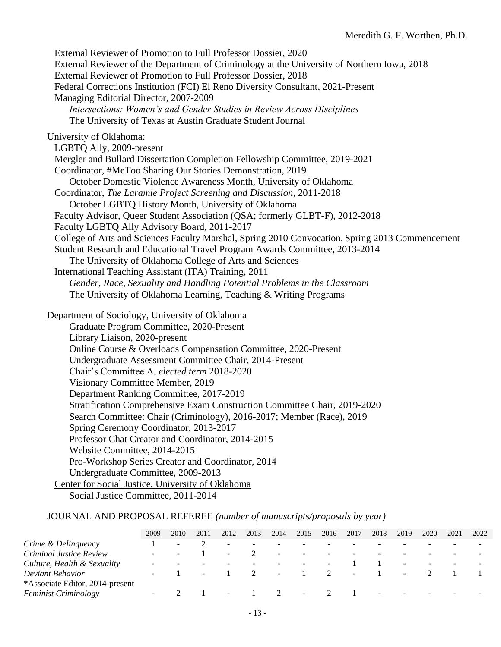External Reviewer of Promotion to Full Professor Dossier, 2020 External Reviewer of the Department of Criminology at the University of Northern Iowa, 2018 External Reviewer of Promotion to Full Professor Dossier, 2018 Federal Corrections Institution (FCI) El Reno Diversity Consultant, 2021-Present Managing Editorial Director, 2007-2009 *Intersections: Women's and Gender Studies in Review Across Disciplines* The University of Texas at Austin Graduate Student Journal University of Oklahoma: LGBTQ Ally, 2009-present Mergler and Bullard Dissertation Completion Fellowship Committee, 2019-2021 Coordinator, #MeToo Sharing Our Stories Demonstration, 2019 October Domestic Violence Awareness Month, University of Oklahoma Coordinator, *The Laramie Project Screening and Discussion*, 2011-2018 October LGBTQ History Month, University of Oklahoma Faculty Advisor, Queer Student Association (QSA; formerly GLBT-F), 2012-2018 Faculty LGBTQ Ally Advisory Board, 2011-2017 College of Arts and Sciences Faculty Marshal, Spring 2010 Convocation, Spring 2013 Commencement Student Research and Educational Travel Program Awards Committee, 2013-2014 The University of Oklahoma College of Arts and Sciences International Teaching Assistant (ITA) Training, 2011 *Gender, Race, Sexuality and Handling Potential Problems in the Classroom*  The University of Oklahoma Learning, Teaching & Writing Programs Department of Sociology, University of Oklahoma Graduate Program Committee, 2020-Present Library Liaison, 2020-present Online Course & Overloads Compensation Committee, 2020-Present Undergraduate Assessment Committee Chair, 2014-Present Chair's Committee A, *elected term* 2018-2020 Visionary Committee Member, 2019 Department Ranking Committee, 2017-2019 Stratification Comprehensive Exam Construction Committee Chair, 2019-2020 Search Committee: Chair (Criminology), 2016-2017; Member (Race), 2019 Spring Ceremony Coordinator, 2013-2017 Professor Chat Creator and Coordinator, 2014-2015 Website Committee, 2014-2015 Pro-Workshop Series Creator and Coordinator, 2014

Undergraduate Committee, 2009-2013

Center for Social Justice, University of Oklahoma

Social Justice Committee, 2011-2014

#### JOURNAL AND PROPOSAL REFEREE *(number of manuscripts/proposals by year)*

|                                 | 2009 | 2010                     | 2011   | 2012                     | 2013 | 2014                     | 2015                     | 2016                     | 2017   | 2018   | 2019   | 2020                     | 2021 | 2022 |
|---------------------------------|------|--------------------------|--------|--------------------------|------|--------------------------|--------------------------|--------------------------|--------|--------|--------|--------------------------|------|------|
| Crime & Delinquency             |      | $\overline{\phantom{0}}$ |        |                          |      |                          |                          |                          |        |        |        |                          |      |      |
| Criminal Justice Review         |      |                          |        | $\overline{\phantom{a}}$ |      | $\overline{\phantom{a}}$ | $\overline{\phantom{a}}$ |                          |        |        |        |                          |      |      |
| Culture, Health & Sexuality     |      |                          |        |                          |      | $\overline{\phantom{a}}$ | $\overline{\phantom{0}}$ | $\overline{\phantom{0}}$ |        |        | $\sim$ | $\overline{\phantom{a}}$ |      |      |
| Deviant Behavior                | -    |                          | $\sim$ |                          |      | $\sim$                   |                          | $\overline{2}$           | $\sim$ |        | $\sim$ |                          |      |      |
| *Associate Editor, 2014-present |      |                          |        |                          |      |                          |                          |                          |        |        |        |                          |      |      |
| <b>Feminist Criminology</b>     | -    |                          |        | $\overline{\phantom{a}}$ |      | $1 \qquad 2$             | $\sim$                   |                          |        | $\sim$ |        |                          |      |      |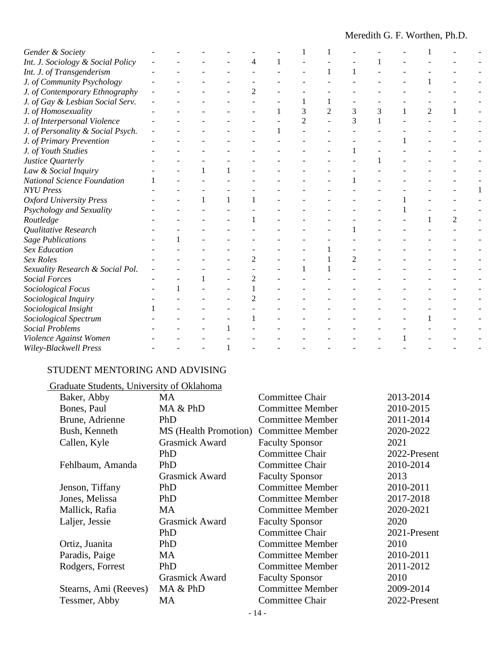| Gender & Society                   |  |  |                |   |                |   |   |                |  |
|------------------------------------|--|--|----------------|---|----------------|---|---|----------------|--|
| Int. J. Sociology & Social Policy  |  |  |                |   |                |   |   |                |  |
| Int. J. of Transgenderism          |  |  |                |   |                |   |   |                |  |
| J. of Community Psychology         |  |  |                |   |                |   |   |                |  |
| J. of Contemporary Ethnography     |  |  | $\overline{c}$ |   |                |   |   |                |  |
| J. of Gay & Lesbian Social Serv.   |  |  |                |   |                |   |   |                |  |
| J. of Homosexuality                |  |  |                | 3 | $\overline{c}$ | 3 | 3 | $\overline{2}$ |  |
| J. of Interpersonal Violence       |  |  |                |   |                | 3 |   |                |  |
| J. of Personality & Social Psych.  |  |  |                |   |                |   |   |                |  |
| J. of Primary Prevention           |  |  |                |   |                |   |   |                |  |
| J. of Youth Studies                |  |  |                |   |                |   |   |                |  |
| Justice Quarterly                  |  |  |                |   |                |   |   |                |  |
| Law & Social Inquiry               |  |  |                |   |                |   |   |                |  |
| <b>National Science Foundation</b> |  |  |                |   |                |   |   |                |  |
| <b>NYU</b> Press                   |  |  |                |   |                |   |   |                |  |
| <b>Oxford University Press</b>     |  |  |                |   |                |   |   |                |  |
| Psychology and Sexuality           |  |  |                |   |                |   |   |                |  |
| Routledge                          |  |  |                |   |                |   |   |                |  |
| Qualitative Research               |  |  |                |   |                |   |   |                |  |
| <b>Sage Publications</b>           |  |  |                |   |                |   |   |                |  |
| <b>Sex Education</b>               |  |  |                |   |                |   |   |                |  |
| Sex Roles                          |  |  |                |   |                | 2 |   |                |  |
| Sexuality Research & Social Pol.   |  |  |                |   |                |   |   |                |  |
| <b>Social Forces</b>               |  |  | 2              |   |                |   |   |                |  |
| Sociological Focus                 |  |  |                |   |                |   |   |                |  |
| Sociological Inquiry               |  |  |                |   |                |   |   |                |  |
| Sociological Insight               |  |  |                |   |                |   |   |                |  |
| Sociological Spectrum              |  |  |                |   |                |   |   |                |  |
| <b>Social Problems</b>             |  |  |                |   |                |   |   |                |  |
| Violence Against Women             |  |  |                |   |                |   |   |                |  |
| Wiley-Blackwell Press              |  |  |                |   |                |   |   |                |  |

# STUDENT MENTORING AND ADVISING

# Graduate Students, University of Oklahoma

| Baker, Abby           | <b>MA</b>             | <b>Committee Chair</b>  | 2013-2014    |  |  |
|-----------------------|-----------------------|-------------------------|--------------|--|--|
| Bones, Paul           | MA & PhD              | <b>Committee Member</b> | 2010-2015    |  |  |
| Brune, Adrienne       | PhD                   | <b>Committee Member</b> | 2011-2014    |  |  |
| Bush, Kenneth         | MS (Health Promotion) | <b>Committee Member</b> | 2020-2022    |  |  |
| Callen, Kyle          | <b>Grasmick Award</b> | <b>Faculty Sponsor</b>  | 2021         |  |  |
|                       | PhD                   | <b>Committee Chair</b>  | 2022-Present |  |  |
| Fehlbaum, Amanda      | PhD                   | Committee Chair         | 2010-2014    |  |  |
|                       | <b>Grasmick Award</b> | <b>Faculty Sponsor</b>  | 2013         |  |  |
| Jenson, Tiffany       | PhD                   | <b>Committee Member</b> | 2010-2011    |  |  |
| Jones, Melissa        | PhD                   | <b>Committee Member</b> | 2017-2018    |  |  |
| Mallick, Rafia        | <b>MA</b>             | <b>Committee Member</b> | 2020-2021    |  |  |
| Laljer, Jessie        | Grasmick Award        | <b>Faculty Sponsor</b>  | 2020         |  |  |
|                       | PhD                   | <b>Committee Chair</b>  | 2021-Present |  |  |
| Ortiz, Juanita        | PhD                   | <b>Committee Member</b> | 2010         |  |  |
| Paradis, Paige        | <b>MA</b>             | <b>Committee Member</b> | 2010-2011    |  |  |
| Rodgers, Forrest      | PhD                   | <b>Committee Member</b> | 2011-2012    |  |  |
|                       | <b>Grasmick Award</b> | <b>Faculty Sponsor</b>  | 2010         |  |  |
| Stearns, Ami (Reeves) | MA & PhD              | <b>Committee Member</b> | 2009-2014    |  |  |
| Tessmer, Abby         | MA                    | <b>Committee Chair</b>  | 2022-Present |  |  |
|                       |                       |                         |              |  |  |